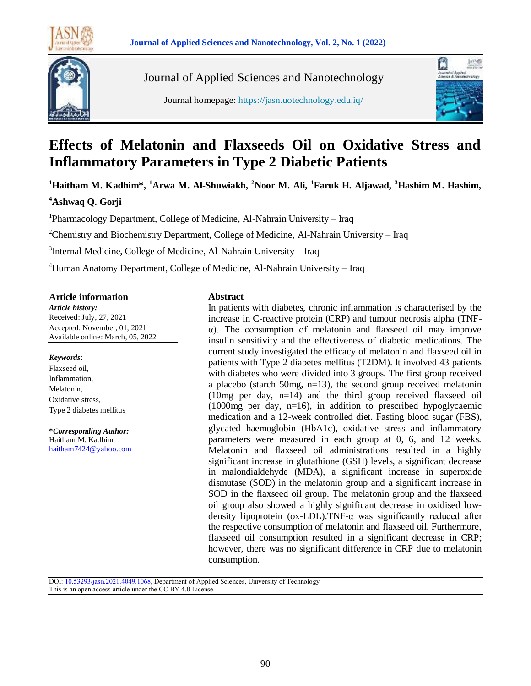



Journal of Applied Sciences and Nanotechnology

Journal homepage: https://jasn.uotechnology.edu.iq/



# **Effects of Melatonin and Flaxseeds Oil on Oxidative Stress and Inflammatory Parameters in Type 2 Diabetic Patients**

**<sup>1</sup>Haitham M. Kadhim\*, <sup>1</sup>Arwa M. Al-Shuwiakh, <sup>2</sup>Noor M. Ali, <sup>1</sup>Faruk H. Aljawad, <sup>3</sup>Hashim M. Hashim,** 

# **<sup>4</sup>Ashwaq Q. Gorji**

<sup>1</sup>Pharmacology Department, College of Medicine, Al-Nahrain University - Iraq

<sup>2</sup>Chemistry and Biochemistry Department, College of Medicine, Al-Nahrain University – Iraq

<sup>3</sup>Internal Medicine, College of Medicine, Al-Nahrain University - Iraq

<sup>4</sup>Human Anatomy Department, College of Medicine, Al-Nahrain University – Iraq

#### **Article information**

*Article history:* Received: July, 27, 2021 Accepted: November, 01, 2021 Available online: March, 05, 2022

#### *Keywords*:

Flaxseed oil, Inflammation, Melatonin, Oxidative stress, Type 2 diabetes mellitus

**\****Corresponding Author:* Haitham M. Kadhim [haitham7424@yahoo.com](mailto:haitham7424@yahoo.com)

#### **Abstract**

In patients with diabetes, chronic inflammation is characterised by the increase in C-reactive protein (CRP) and tumour necrosis alpha (TNFα). The consumption of melatonin and flaxseed oil may improve insulin sensitivity and the effectiveness of diabetic medications. The current study investigated the efficacy of melatonin and flaxseed oil in patients with Type 2 diabetes mellitus (T2DM). It involved 43 patients with diabetes who were divided into 3 groups. The first group received a placebo (starch 50mg, n=13), the second group received melatonin (10mg per day, n=14) and the third group received flaxseed oil (1000mg per day, n=16), in addition to prescribed hypoglycaemic medication and a 12-week controlled diet. Fasting blood sugar (FBS), glycated haemoglobin (HbA1c), oxidative stress and inflammatory parameters were measured in each group at 0, 6, and 12 weeks. Melatonin and flaxseed oil administrations resulted in a highly significant increase in glutathione (GSH) levels, a significant decrease in malondialdehyde (MDA), a significant increase in superoxide dismutase (SOD) in the melatonin group and a significant increase in SOD in the flaxseed oil group. The melatonin group and the flaxseed oil group also showed a highly significant decrease in oxidised lowdensity lipoprotein (ox-LDL).TNF-α was significantly reduced after the respective consumption of melatonin and flaxseed oil. Furthermore, flaxseed oil consumption resulted in a significant decrease in CRP; however, there was no significant difference in CRP due to melatonin consumption.

DOI: 10.53293/jasn.2021.4049.1068, Department of Applied Sciences, University of Technology This is an open access article under the CC BY 4.0 License.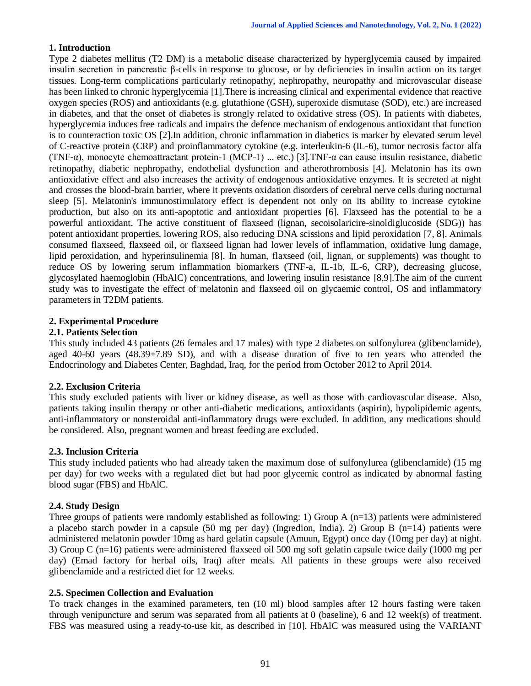# **1. Introduction**

Type 2 diabetes mellitus (T2 DM) is a metabolic disease characterized by hyperglycemia caused by impaired insulin secretion in pancreatic β-cells in response to glucose, or by deficiencies in insulin action on its target tissues. Long-term complications particularly retinopathy, nephropathy, neuropathy and microvascular disease has been linked to chronic hyperglycemia [1].There is increasing clinical and experimental evidence that reactive oxygen species (ROS) and antioxidants (e.g. glutathione (GSH), superoxide dismutase (SOD), etc.) are increased in diabetes, and that the onset of diabetes is strongly related to oxidative stress (OS). In patients with diabetes, hyperglycemia induces free radicals and impairs the defence mechanism of endogenous antioxidant that function is to counteraction toxic OS [2].In addition, chronic inflammation in diabetics is marker by elevated serum level of C-reactive protein (CRP) and proinflammatory cytokine (e.g. interleukin-6 (IL-6), tumor necrosis factor alfa (TNF-α), monocyte chemoattractant protein-1 (MCP-1) ... etc.) [3].TNF-α can cause insulin resistance, diabetic retinopathy, diabetic nephropathy, endothelial dysfunction and atherothrombosis [4]. Melatonin has its own antioxidative effect and also increases the activity of endogenous antioxidative enzymes. It is secreted at night and crosses the blood-brain barrier, where it prevents oxidation disorders of cerebral nerve cells during nocturnal sleep [5]. Melatonin's immunostimulatory effect is dependent not only on its ability to increase cytokine production, but also on its anti-apoptotic and antioxidant properties [6]. Flaxseed has the potential to be a powerful antioxidant. The active constituent of flaxseed (lignan, secoisolaricire-sinoldiglucoside (SDG)) has potent antioxidant properties, lowering ROS, also reducing DNA scissions and lipid peroxidation [7, 8]. Animals consumed flaxseed, flaxseed oil, or flaxseed lignan had lower levels of inflammation, oxidative lung damage, lipid peroxidation, and hyperinsulinemia [8]. In human, flaxseed (oil, lignan, or supplements) was thought to reduce OS by lowering serum inflammation biomarkers (TNF-a, IL-1b, IL-6, CRP), decreasing glucose, glycosylated haemoglobin (HbAlC) concentrations, and lowering insulin resistance [8,9].The aim of the current study was to investigate the effect of melatonin and flaxseed oil on glycaemic control, OS and inflammatory parameters in T2DM patients.

#### **2. Experimental Procedure**

#### **2.1. Patients Selection**

This study included 43 patients (26 females and 17 males) with type 2 diabetes on sulfonylurea (glibenclamide), aged 40-60 years  $(48.39\pm7.89$  SD), and with a disease duration of five to ten years who attended the Endocrinology and Diabetes Center, Baghdad, Iraq, for the period from October 2012 to April 2014.

#### **2.2. Exclusion Criteria**

This study excluded patients with liver or kidney disease, as well as those with cardiovascular disease. Also, patients taking insulin therapy or other anti-diabetic medications, antioxidants (aspirin), hypolipidemic agents, anti-inflammatory or nonsteroidal anti-inflammatory drugs were excluded. In addition, any medications should be considered. Also, pregnant women and breast feeding are excluded.

#### **2.3. Inclusion Criteria**

This study included patients who had already taken the maximum dose of sulfonylurea (glibenclamide) (15 mg per day) for two weeks with a regulated diet but had poor glycemic control as indicated by abnormal fasting blood sugar (FBS) and HbAlC.

#### **2.4. Study Design**

Three groups of patients were randomly established as following: 1) Group A (n=13) patients were administered a placebo starch powder in a capsule (50 mg per day) (Ingredion, India). 2) Group B (n=14) patients were administered melatonin powder 10mg as hard gelatin capsule (Amuun, Egypt) once day (10mg per day) at night. 3) Group C (n=16) patients were administered flaxseed oil 500 mg soft gelatin capsule twice daily (1000 mg per day) (Emad factory for herbal oils, Iraq) after meals. All patients in these groups were also received glibenclamide and a restricted diet for 12 weeks.

#### **2.5. Specimen Collection and Evaluation**

To track changes in the examined parameters, ten (10 ml) blood samples after 12 hours fasting were taken through venipuncture and serum was separated from all patients at 0 (baseline), 6 and 12 week(s) of treatment. FBS was measured using a ready-to-use kit, as described in [10]. HbAlC was measured using the VARIANT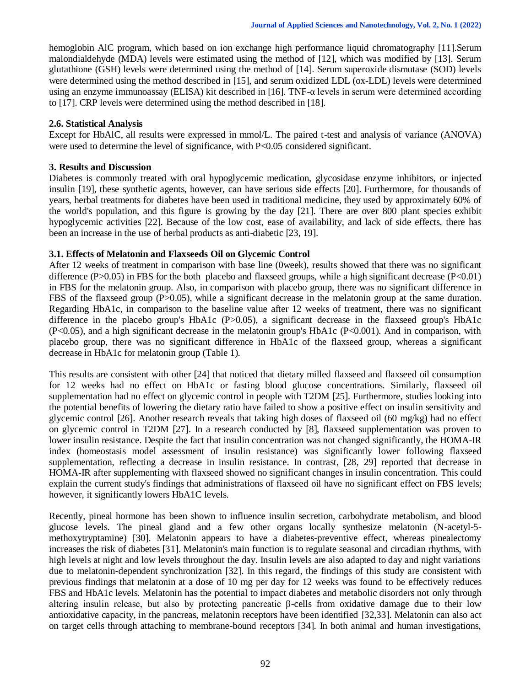hemoglobin AlC program, which based on ion exchange high performance liquid chromatography [11].Serum malondialdehyde (MDA) levels were estimated using the method of [12], which was modified by [13]. Serum glutathione (GSH) levels were determined using the method of [14]. Serum superoxide dismutase (SOD) levels were determined using the method described in [15], and serum oxidized LDL (ox-LDL) levels were determined using an enzyme immunoassay (ELISA) kit described in [16]. TNF-α levels in serum were determined according to [17]. CRP levels were determined using the method described in [18].

## **2.6. Statistical Analysis**

Except for HbAlC, all results were expressed in mmol/L. The paired t-test and analysis of variance (ANOVA) were used to determine the level of significance, with P<0.05 considered significant.

#### **3. Results and Discussion**

Diabetes is commonly treated with oral hypoglycemic medication, glycosidase enzyme inhibitors, or injected insulin [19], these synthetic agents, however, can have serious side effects [20]. Furthermore, for thousands of years, herbal treatments for diabetes have been used in traditional medicine, they used by approximately 60% of the world's population, and this figure is growing by the day [21]. There are over 800 plant species exhibit hypoglycemic activities [22]. Because of the low cost, ease of availability, and lack of side effects, there has been an increase in the use of herbal products as anti-diabetic [23, 19].

## **3.1. Effects of Melatonin and Flaxseeds Oil on Glycemic Control**

After 12 weeks of treatment in comparison with base line (0week), results showed that there was no significant difference  $(P>0.05)$  in FBS for the both placebo and flaxseed groups, while a high significant decrease  $(P<0.01)$ in FBS for the melatonin group. Also, in comparison with placebo group, there was no significant difference in FBS of the flaxseed group (P>0.05), while a significant decrease in the melatonin group at the same duration. Regarding HbA1c, in comparison to the baseline value after 12 weeks of treatment, there was no significant difference in the placebo group's HbA1c (P>0.05), a significant decrease in the flaxseed group's HbA1c (P<0.05), and a high significant decrease in the melatonin group's HbA1c (P<0.001). And in comparison, with placebo group, there was no significant difference in HbA1c of the flaxseed group, whereas a significant decrease in HbA1c for melatonin group (Table 1).

This results are consistent with other [24] that noticed that dietary milled flaxseed and flaxseed oil consumption for 12 weeks had no effect on HbA1c or fasting blood glucose concentrations. Similarly, flaxseed oil supplementation had no effect on glycemic control in people with T2DM [25]. Furthermore, studies looking into the potential benefits of lowering the dietary ratio have failed to show a positive effect on insulin sensitivity and glycemic control [26]. Another research reveals that taking high doses of flaxseed oil (60 mg/kg) had no effect on glycemic control in T2DM [27]. In a research conducted by [8], flaxseed supplementation was proven to lower insulin resistance. Despite the fact that insulin concentration was not changed significantly, the HOMA-IR index (homeostasis model assessment of insulin resistance) was significantly lower following flaxseed supplementation, reflecting a decrease in insulin resistance. In contrast, [28, 29] reported that decrease in HOMA-IR after supplementing with flaxseed showed no significant changes in insulin concentration. This could explain the current study's findings that administrations of flaxseed oil have no significant effect on FBS levels; however, it significantly lowers HbA1C levels.

Recently, pineal hormone has been shown to influence insulin secretion, carbohydrate metabolism, and blood glucose levels. The pineal gland and a few other organs locally synthesize melatonin (N-acetyl-5 methoxytryptamine) [30]. Melatonin appears to have a diabetes-preventive effect, whereas pinealectomy increases the risk of diabetes [31]. Melatonin's main function is to regulate seasonal and circadian rhythms, with high levels at night and low levels throughout the day. Insulin levels are also adapted to day and night variations due to melatonin-dependent synchronization [32]. In this regard, the findings of this study are consistent with previous findings that melatonin at a dose of 10 mg per day for 12 weeks was found to be effectively reduces FBS and HbA1c levels. Melatonin has the potential to impact diabetes and metabolic disorders not only through altering insulin release, but also by protecting pancreatic β-cells from oxidative damage due to their low antioxidative capacity, in the pancreas, melatonin receptors have been identified [32,33]. Melatonin can also act on target cells through attaching to membrane-bound receptors [34]. In both animal and human investigations,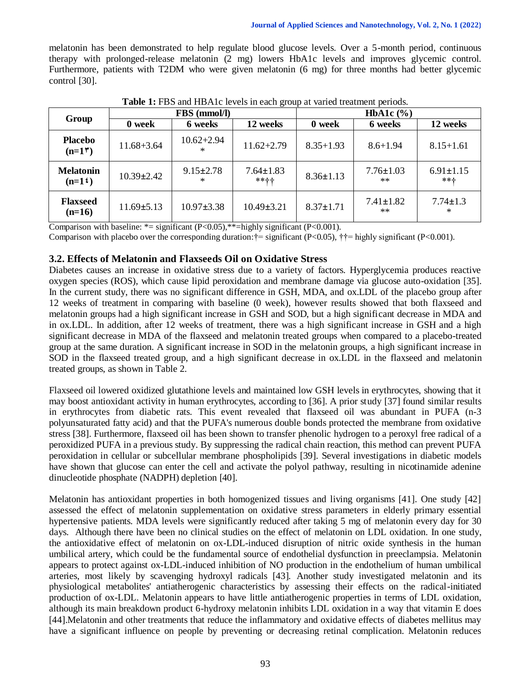melatonin has been demonstrated to help regulate blood glucose levels. Over a 5-month period, continuous therapy with prolonged-release melatonin (2 mg) lowers HbA1c levels and improves glycemic control. Furthermore, patients with T2DM who were given melatonin (6 mg) for three months had better glycemic control [30].

| Group                           |                  | FBS (mmol/l)           |                         | HbA1c $(\% )$   |                         |                        |  |
|---------------------------------|------------------|------------------------|-------------------------|-----------------|-------------------------|------------------------|--|
|                                 | 0 week           | 6 weeks                | 12 weeks                | 0 week          | 6 weeks                 | 12 weeks               |  |
| <b>Placebo</b><br>$(n=1\prime)$ | $11.68 + 3.64$   | $10.62 + 2.94$<br>$*$  | $11.62 + 2.79$          | $8.35 + 1.93$   | $8.6 + 1.94$            | $8.15 + 1.61$          |  |
| <b>Melatonin</b><br>$(n=1)$     | $10.39 + 2.42$   | $9.15 \pm 2.78$<br>$*$ | $7.64 \pm 1.83$<br>**++ | $8.36 \pm 1.13$ | $7.76 \pm 1.03$<br>$**$ | $6.91 \pm 1.15$<br>**+ |  |
| <b>Flaxseed</b><br>$(n=16)$     | $11.69 \pm 5.13$ | $10.97 + 3.38$         | $10.49 \pm 3.21$        | $8.37 \pm 1.71$ | $7.41 \pm 1.82$<br>$**$ | $7.74 \pm 1.3$<br>*    |  |

**Table 1:** FBS and HBA1c levels in each group at varied treatment periods.

Comparison with baseline:  $*$  = significant (P<0.05),  $*$  = highly significant (P<0.001).

Comparison with placebo over the corresponding duration: $\dagger$ = significant (P<0.05),  $\dagger$  $\dagger$ = highly significant (P<0.001).

## **3.2. Effects of Melatonin and Flaxseeds Oil on Oxidative Stress**

Diabetes causes an increase in oxidative stress due to a variety of factors. Hyperglycemia produces reactive oxygen species (ROS), which cause lipid peroxidation and membrane damage via glucose auto-oxidation [35]. In the current study, there was no significant difference in GSH, MDA, and ox.LDL of the placebo group after 12 weeks of treatment in comparing with baseline (0 week), however results showed that both flaxseed and melatonin groups had a high significant increase in GSH and SOD, but a high significant decrease in MDA and in ox.LDL. In addition, after 12 weeks of treatment, there was a high significant increase in GSH and a high significant decrease in MDA of the flaxseed and melatonin treated groups when compared to a placebo-treated group at the same duration. A significant increase in SOD in the melatonin groups, a high significant increase in SOD in the flaxseed treated group, and a high significant decrease in ox.LDL in the flaxseed and melatonin treated groups, as shown in Table 2.

Flaxseed oil lowered oxidized glutathione levels and maintained low GSH levels in erythrocytes, showing that it may boost antioxidant activity in human erythrocytes, according to [36]. A prior study [37] found similar results in erythrocytes from diabetic rats. This event revealed that flaxseed oil was abundant in PUFA (n-3 polyunsaturated fatty acid) and that the PUFA's numerous double bonds protected the membrane from oxidative stress [38]. Furthermore, flaxseed oil has been shown to transfer phenolic hydrogen to a peroxyl free radical of a peroxidized PUFA in a previous study. By suppressing the radical chain reaction, this method can prevent PUFA peroxidation in cellular or subcellular membrane phospholipids [39]. Several investigations in diabetic models have shown that glucose can enter the cell and activate the polyol pathway, resulting in nicotinamide adenine dinucleotide phosphate (NADPH) depletion [40].

Melatonin has antioxidant properties in both homogenized tissues and living organisms [41]. One study [42] assessed the effect of melatonin supplementation on oxidative stress parameters in elderly primary essential hypertensive patients. MDA levels were significantly reduced after taking 5 mg of melatonin every day for 30 days. Although there have been no clinical studies on the effect of melatonin on LDL oxidation. In one study, the antioxidative effect of melatonin on ox-LDL-induced disruption of nitric oxide synthesis in the human umbilical artery, which could be the fundamental source of endothelial dysfunction in preeclampsia. Melatonin appears to protect against ox-LDL-induced inhibition of NO production in the endothelium of human umbilical arteries, most likely by scavenging hydroxyl radicals [43]. Another study investigated melatonin and its physiological metabolites' antiatherogenic characteristics by assessing their effects on the radical-initiated production of ox-LDL. Melatonin appears to have little antiatherogenic properties in terms of LDL oxidation, although its main breakdown product 6-hydroxy melatonin inhibits LDL oxidation in a way that vitamin E does [44].Melatonin and other treatments that reduce the inflammatory and oxidative effects of diabetes mellitus may have a significant influence on people by preventing or decreasing retinal complication. Melatonin reduces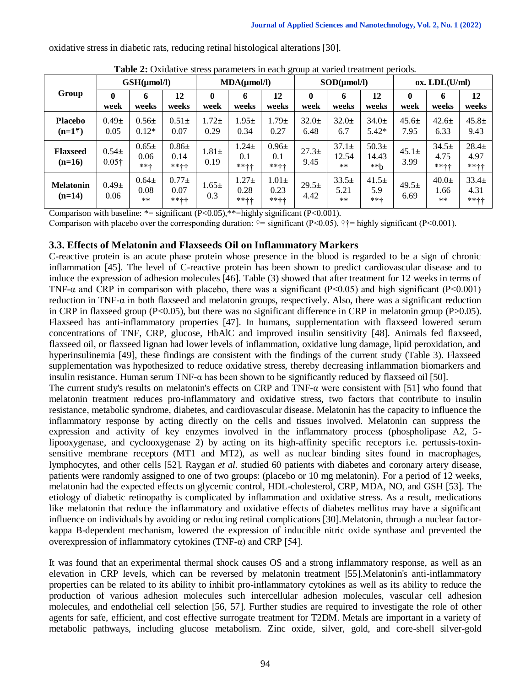| <b>Thore =</b> OARGUI TO SECSS purumeters in each group at Turned treatment perfolio. |                            |                            |                              |                   |                                |                               |                   |                             |                             |                   |                            |                           |
|---------------------------------------------------------------------------------------|----------------------------|----------------------------|------------------------------|-------------------|--------------------------------|-------------------------------|-------------------|-----------------------------|-----------------------------|-------------------|----------------------------|---------------------------|
| Group                                                                                 | $GSH(\mu mol/l)$           |                            | $MDA(\mu mol/l)$             |                   | SOD(numol/l)                   |                               |                   | ox. LDL(U/ml)               |                             |                   |                            |                           |
|                                                                                       | week                       | 6<br>weeks                 | 12<br>weeks                  | 0<br>week         | 6<br>weeks                     | 12<br>weeks                   | $\bf{0}$<br>week  | 6<br>weeks                  | 12<br>weeks                 | 0<br>week         | 6<br>weeks                 | 12<br>weeks               |
| <b>Placebo</b><br>$(n=1\dagger)$                                                      | $0.49\pm$<br>0.05          | $0.56\pm$<br>$0.12*$       | $0.51\pm$<br>0.07            | $1.72\pm$<br>0.29 | $1.95\pm$<br>0.34              | $1.79 \pm$<br>0.27            | $32.0\pm$<br>6.48 | $32.0\pm$<br>6.7            | $34.0 \pm$<br>$5.42*$       | $45.6\pm$<br>7.95 | $42.6\pm$<br>6.33          | $45.8\pm$<br>9.43         |
| <b>Flaxseed</b><br>$(n=16)$                                                           | $0.54\pm$<br>$0.05\dagger$ | $0.65\pm$<br>0.06<br>**+   | $0.86\pm$<br>0.14<br>**++    | $1.81\pm$<br>0.19 | $1.24 \pm$<br>0.1<br>$*** + +$ | $0.96\pm$<br>0.1<br>$*** + +$ | $27.3+$<br>9.45   | $37.1\pm$<br>12.54<br>$***$ | $50.3\pm$<br>14.43<br>$**h$ | $45.1\pm$<br>3.99 | $34.5+$<br>4.75<br>$***++$ | $28.4\pm$<br>4.97<br>**++ |
| <b>Melatonin</b><br>$(n=14)$                                                          | $0.49\pm$<br>0.06          | $0.64\pm$<br>0.08<br>$***$ | $0.77\pm$<br>0.07<br>$***++$ | $1.65\pm$<br>0.3  | $1.27\pm$<br>0.28<br>**++      | $1.01\pm$<br>0.23<br>$***++$  | $29.5+$<br>4.42   | $33.5+$<br>5.21<br>$***$    | $41.5+$<br>5.9<br>$***+$    | $49.5+$<br>6.69   | $40.0\pm$<br>1.66<br>$***$ | $33.4\pm$<br>4.31<br>**++ |

oxidative stress in diabetic rats, reducing retinal histological alterations [30].

|  |  | Table 2: Oxidative stress parameters in each group at varied treatment periods. |
|--|--|---------------------------------------------------------------------------------|
|--|--|---------------------------------------------------------------------------------|

Comparison with baseline:  $*$  = significant (P<0.05), $*$  = highly significant (P<0.001).

Comparison with placebo over the corresponding duration:  $\dagger$  = significant (P<0.05),  $\dagger$  = highly significant (P<0.001).

# **3.3. Effects of Melatonin and Flaxseeds Oil on Inflammatory Markers**

C-reactive protein is an acute phase protein whose presence in the blood is regarded to be a sign of chronic inflammation [45]. The level of C-reactive protein has been shown to predict cardiovascular disease and to induce the expression of adhesion molecules [46]. Table (3) showed that after treatment for 12 weeks in terms of TNF- $\alpha$  and CRP in comparison with placebo, there was a significant (P<0.05) and high significant (P<0.001) reduction in TNF-α in both flaxseed and melatonin groups, respectively. Also, there was a significant reduction in CRP in flaxseed group (P<0.05), but there was no significant difference in CRP in melatonin group (P>0.05). Flaxseed has anti-inflammatory properties [47]. In humans, supplementation with flaxseed lowered serum concentrations of TNF, CRP, glucose, HbAlC and improved insulin sensitivity [48]. Animals fed flaxseed, flaxseed oil, or flaxseed lignan had lower levels of inflammation, oxidative lung damage, lipid peroxidation, and hyperinsulinemia [49], these findings are consistent with the findings of the current study (Table 3). Flaxseed supplementation was hypothesized to reduce oxidative stress, thereby decreasing inflammation biomarkers and insulin resistance. Human serum TNF- $\alpha$  has been shown to be significantly reduced by flaxseed oil [50].

The current study's results on melatonin's effects on CRP and TNF-α were consistent with [51] who found that melatonin treatment reduces pro-inflammatory and oxidative stress, two factors that contribute to insulin resistance, metabolic syndrome, diabetes, and cardiovascular disease. Melatonin has the capacity to influence the inflammatory response by acting directly on the cells and tissues involved. Melatonin can suppress the expression and activity of key enzymes involved in the inflammatory process (phospholipase A2, 5 lipooxygenase, and cyclooxygenase 2) by acting on its high-affinity specific receptors i.e. pertussis-toxinsensitive membrane receptors (MT1 and MT2), as well as nuclear binding sites found in macrophages, lymphocytes, and other cells [52]. Raygan *et al.* studied 60 patients with diabetes and coronary artery disease, patients were randomly assigned to one of two groups: (placebo or 10 mg melatonin). For a period of 12 weeks, melatonin had the expected effects on glycemic control, HDL-cholesterol, CRP, MDA, NO, and GSH [53]. The etiology of diabetic retinopathy is complicated by inflammation and oxidative stress. As a result, medications like melatonin that reduce the inflammatory and oxidative effects of diabetes mellitus may have a significant influence on individuals by avoiding or reducing retinal complications [30].Melatonin, through a nuclear factorkappa B-dependent mechanism, lowered the expression of inducible nitric oxide synthase and prevented the overexpression of inflammatory cytokines (TNF-α) and CRP [54].

It was found that an experimental thermal shock causes OS and a strong inflammatory response, as well as an elevation in CRP levels, which can be reversed by melatonin treatment [55].Melatonin's anti-inflammatory properties can be related to its ability to inhibit pro-inflammatory cytokines as well as its ability to reduce the production of various adhesion molecules such intercellular adhesion molecules, vascular cell adhesion molecules, and endothelial cell selection [56, 57]. Further studies are required to investigate the role of other agents for safe, efficient, and cost effective surrogate treatment for T2DM. Metals are important in a variety of metabolic pathways, including glucose metabolism. Zinc oxide, silver, gold, and core-shell silver-gold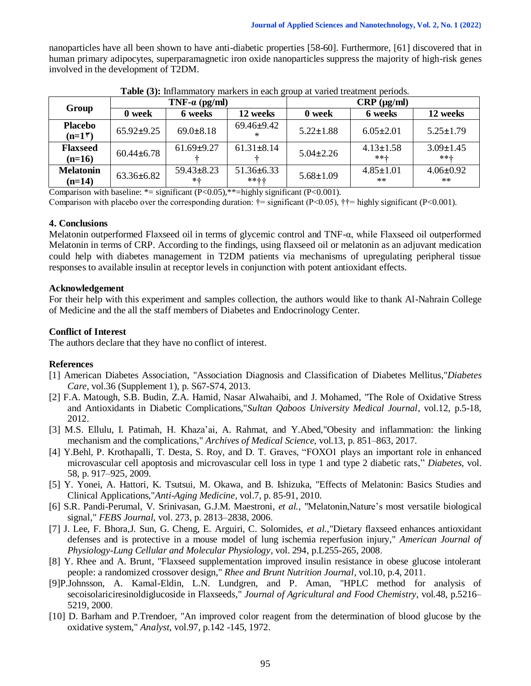nanoparticles have all been shown to have anti-diabetic properties [58-60]. Furthermore, [61] discovered that in human primary adipocytes, superparamagnetic iron oxide nanoparticles suppress the majority of high-risk genes involved in the development of T2DM.

| Group                         |                  | TNF- $\alpha$ (pg/ml)    |                            | $CRP$ ( $\mu$ g/ml) |                           |                            |  |
|-------------------------------|------------------|--------------------------|----------------------------|---------------------|---------------------------|----------------------------|--|
|                               | 0 week           | 6 weeks                  | 12 weeks                   | 0 week              | 6 weeks                   | 12 weeks                   |  |
| <b>Placebo</b><br>$(n=1\tau)$ | $65.92 + 9.25$   | $69.0 \pm 8.18$          | $69.46 \pm 9.42$<br>$\ast$ | $5.22 \pm 1.88$     | $6.05 \pm 2.01$           | $5.25 \pm 1.79$            |  |
| <b>Flaxseed</b><br>$(n=16)$   | $60.44 \pm 6.78$ | $61.69 + 9.27$           | $61.31 + 8.14$             | $5.04 + 2.26$       | $4.13 \pm 1.58$<br>$***+$ | $3.09 \pm 1.45$<br>$*** +$ |  |
| <b>Melatonin</b><br>$(n=14)$  | $63.36 \pm 6.82$ | $59.43 \pm 8.23$<br>$*+$ | $51.36 \pm 6.33$<br>***+   | $5.68 \pm 1.09$     | $4.85 \pm 1.01$<br>$**$   | $4.06 \pm 0.92$<br>$**$    |  |

**Table (3):** Inflammatory markers in each group at varied treatment periods.

Comparison with baseline:  $*$  = significant (P<0.05), $*$  = highly significant (P<0.001).

Comparison with placebo over the corresponding duration:  $\dot{\tau}$  = significant (P<0.05),  $\dot{\tau}$  = highly significant (P<0.001).

#### **4. Conclusions**

Melatonin outperformed Flaxseed oil in terms of glycemic control and TNF-α, while Flaxseed oil outperformed Melatonin in terms of CRP. According to the findings, using flaxseed oil or melatonin as an adjuvant medication could help with diabetes management in T2DM patients via mechanisms of upregulating peripheral tissue responses to available insulin at receptor levels in conjunction with potent antioxidant effects.

#### **Acknowledgement**

For their help with this experiment and samples collection, the authors would like to thank Al-Nahrain College of Medicine and the all the staff members of Diabetes and Endocrinology Center.

#### **Conflict of Interest**

The authors declare that they have no conflict of interest.

#### **References**

- [1] American Diabetes Association, "Association Diagnosis and Classification of Diabetes Mellitus,"*Diabetes Care*, vol.36 (Supplement 1), p. S67-S74, 2013.
- [2] [F.A. Matough,](https://www.ncbi.nlm.nih.gov/pubmed/?term=Matough%20FA%5BAuthor%5D&cauthor=true&cauthor_uid=22375253) [S.B. Budin,](https://www.ncbi.nlm.nih.gov/pubmed/?term=Budin%20SB%5BAuthor%5D&cauthor=true&cauthor_uid=22375253) [Z.A. Hamid,](https://www.ncbi.nlm.nih.gov/pubmed/?term=Hamid%20ZA%5BAuthor%5D&cauthor=true&cauthor_uid=22375253) [Nasar Alwahaibi,](https://www.ncbi.nlm.nih.gov/pubmed/?term=Alwahaibi%20N%5BAuthor%5D&cauthor=true&cauthor_uid=22375253) and [J. Mohamed,](https://www.ncbi.nlm.nih.gov/pubmed/?term=Mohamed%20J%5BAuthor%5D&cauthor=true&cauthor_uid=22375253) "The Role of Oxidative Stress and Antioxidants in Diabetic Complications,"*Sultan Qaboos University Medical Journal*, vol.12, p.5-18, 2012.
- [3] [M.S. Ellulu,](https://www.ncbi.nlm.nih.gov/pubmed/?term=Ellulu%20MS%5BAuthor%5D&cauthor=true&cauthor_uid=28721154) [I. Patimah,](https://www.ncbi.nlm.nih.gov/pubmed/?term=Patimah%20I%5BAuthor%5D&cauthor=true&cauthor_uid=28721154) [H. Khaza'ai,](https://www.ncbi.nlm.nih.gov/pubmed/?term=Khaza%26%23x02019%3Bai%20H%5BAuthor%5D&cauthor=true&cauthor_uid=28721154) [A. Rahmat,](https://www.ncbi.nlm.nih.gov/pubmed/?term=Rahmat%20A%5BAuthor%5D&cauthor=true&cauthor_uid=28721154) and [Y.Abed,](https://www.ncbi.nlm.nih.gov/pubmed/?term=Abed%20Y%5BAuthor%5D&cauthor=true&cauthor_uid=28721154)"Obesity and inflammation: the linking mechanism and the complications*,*" *Archives of Medical Science*, vol.13, p. 851–863, 2017.
- [4] Y.Behl, P. Krothapalli, T. Desta, S. Roy, and D. T. Graves, "FOXO1 plays an important role in enhanced microvascular cell apoptosis and microvascular cell loss in type 1 and type 2 diabetic rats," *Diabetes*, vol. 58, p. 917–925, 2009.
- [5] Y. Yonei, A. Hattori, K. Tsutsui, M. Okawa, and B. Ishizuka, "Effects of Melatonin: Basics Studies and Clinical Applications,"*Anti-Aging Medicine*, vol.7, p. 85-91, 2010.
- [6] S.R. Pandi-Perumal, V. Srinivasan, G.J.M. Maestroni, *et al.,* "Melatonin,Nature's most versatile biological signal," *FEBS Journal*, vol. 273, p. 2813–2838, 2006.
- [7] J. Lee, F. Bhora,J. Sun, G. Cheng, E. Arguiri, C. Solomides, *et al.,*"Dietary flaxseed enhances antioxidant defenses and is protective in a mouse model of lung ischemia reperfusion injury," *American Journal of Physiology-Lung Cellular and Molecular Physiology*, vol. 294, p.L255-265, 2008.
- [8] Y. Rhee and A. Brunt, "Flaxseed supplementation improved insulin resistance in obese glucose intolerant people: a randomized crossover design," *Rhee and Brunt Nutrition Journal,* vol.10, p.4, 2011.
- [9]P.Johnsson, A. Kamal-Eldin, L.N. Lundgren, and P. Aman, "HPLC method for analysis of secoisolariciresinoldiglucoside in Flaxseeds," *Journal of Agricultural and Food Chemistry*, vol.48, p.5216– 5219, 2000.
- [10] D. Barham and P.Trendoer, "An improved color reagent from the determination of blood glucose by the oxidative system," *Analyst*, vol.97, p.142 -145, 1972.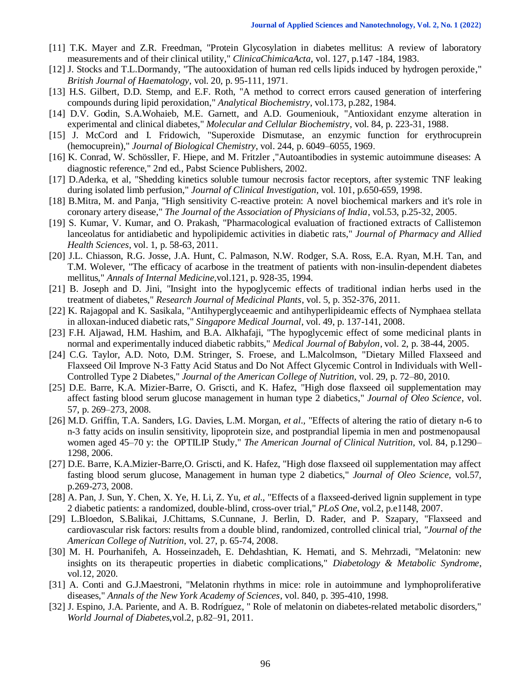- [11] T.K. Mayer and Z.R. Freedman, "Protein Glycosylation in diabetes mellitus: A review of laboratory measurements and of their clinical utility," *ClinicaChimicaActa*, vol. 127, p.147 -184, 1983.
- [12] J. Stocks and T.L.Dormandy, "The autooxidation of human red cells lipids induced by hydrogen peroxide," *British Journal of Haematology*, vol. 20, p. 95-111, 1971.
- [13] H.S. Gilbert, D.D. Stemp, and E.F. Roth, "A method to correct errors caused generation of interfering compounds during lipid peroxidation," *Analytical Biochemistry*, vol.173, p.282, 1984.
- [14] D.V. Godin, S.A.Wohaieb, [M.E. Garnett,](https://link.springer.com/article/10.1007/BF00421057#auth-Maureen_E_-Garnett) and [A.D. Goumeniouk,](https://link.springer.com/article/10.1007/BF00421057#auth-A__D_-Goumeniouk) "Antioxidant enzyme alteration in experimental and clinical diabetes," *Molecular and Cellular Biochemistry*, vol. 84, p. 223-31, 1988.
- [15] J. McCord and I. Fridowich, "Superoxide Dismutase, an enzymic function for erythrocuprein (hemocuprein)," *Journal of Biological Chemistry*, vol. 244, p. 6049–6055, 1969.
- [16] K. Conrad, W. Schössller, F. Hiepe, and M. Fritzler ,"Autoantibodies in systemic autoimmune diseases: A diagnostic reference," 2nd ed., Pabst Science Publishers, 2002.
- [17] D.Aderka, et al, "Shedding kinetics soluble tumour necrosis factor receptors, after systemic TNF leaking during isolated limb perfusion," *Journal of Clinical Investigation*, vol. 101, p.650-659, 1998.
- [18] B.Mitra, M. and Panja, "High sensitivity C-reactive protein: A novel biochemical markers and it's role in coronary artery disease," *The Journal of the Association of Physicians of India*, vol.53, p.25-32, 2005.
- [19] S. Kumar, V. Kumar, and O. Prakash, "Pharmacological evaluation of fractioned extracts of Callistemon lanceolatus for antidiabetic and hypolipidemic activities in diabetic rats," *Journal of Pharmacy and Allied Health Sciences*, vol. 1, p. 58-63, 2011.
- [20] J.L. Chiasson, R.G. Josse, J.A. Hunt, C. Palmason, N.W. Rodger, S.A. Ross, E.A. Ryan, M.H. Tan, and T.M. Wolever, "The efficacy of acarbose in the treatment of patients with non-insulin-dependent diabetes mellitus," *Annals of Internal Medicine*,vol.121, p. 928-35, 1994.
- [21] B. Joseph and D. Jini, "Insight into the hypoglycemic effects of traditional indian herbs used in the treatment of diabetes," *Research Journal of Medicinal Plants*, vol. 5, p. 352-376, 2011.
- [22] K. Rajagopal and K. Sasikala, "Antihyperglyceaemic and antihyperlipideamic effects of Nymphaea stellata in alloxan-induced diabetic rats," *Singapore Medical Journal*, vol. 49, p. 137-141, 2008.
- [23] F.H. Aljawad, H.M. Hashim, and B.A. Alkhafaji, "The hypoglycemic effect of some medicinal plants in normal and experimentally induced diabetic rabbits," *Medical Journal of Babylon*, vol. 2, p. 38-44, 2005.
- [24] C.G. Taylor, A.D. Noto, D.M. Stringer, S. Froese, and L.Malcolmson, "Dietary Milled Flaxseed and Flaxseed Oil Improve N-3 Fatty Acid Status and Do Not Affect Glycemic Control in Individuals with Well-Controlled Type 2 Diabetes," *Journal of the American College of Nutrition*, vol. 29, p. 72–80, 2010.
- [25] D.E. Barre, K.A. Mizier-Barre, O. Griscti, and K. Hafez, "High dose flaxseed oil supplementation may affect fasting blood serum glucose management in human type 2 diabetics," *Journal of Oleo Science*, vol. 57, p. 269–273, 2008.
- [26] M.D. Griffin, T.A. Sanders, I.G. Davies, L.M. Morgan, *et al.,* "Effects of altering the ratio of dietary n-6 to n-3 fatty acids on insulin sensitivity, lipoprotein size, and postprandial lipemia in men and postmenopausal women aged 45–70 y: the OPTILIP Study," *The American Journal of Clinical Nutrition*, vol. 84, p.1290– 1298, 2006.
- [27] D.E. Barre, K.A.Mizier-Barre,O. Griscti, and K. Hafez, "High dose flaxseed oil supplementation may affect fasting blood serum glucose, Management in human type 2 diabetics," *Journal of Oleo Science*, vol.57, p.269-273, 2008.
- [28] A. Pan, J. Sun, Y. Chen, X. Ye, H. Li, Z. Yu, *et al.,* "Effects of a flaxseed-derived lignin supplement in type 2 diabetic patients: a randomized, double-blind, cross-over trial," *PLoS One*, vol.2, p.e1148, 2007.
- [29] L.Bloedon, S.Balikai, J.Chittams, S.Cunnane, J. Berlin, D. Rader, and P. Szapary, "Flaxseed and cardiovascular risk factors: results from a double blind, randomized, controlled clinical trial, *"Journal of the American College of Nutrition*, vol. 27, p. 65-74, 2008.
- [30] M. H. Pourhanifeh, A. Hosseinzadeh, E. Dehdashtian, K. Hemati, and S. Mehrzadi, "Melatonin: new insights on its therapeutic properties in diabetic complications," *Diabetology & Metabolic Syndrome*, vol.12, 2020.
- [31] A. Conti and G.J.Maestroni, "Melatonin rhythms in mice: role in autoimmune and lymphoproliferative diseases," *Annals of the New York Academy of Sciences*, vol. 840, p. 395-410, 1998.
- [32] [J. Espino,](https://www.ncbi.nlm.nih.gov/pubmed/?term=Espino%20J%5BAuthor%5D&cauthor=true&cauthor_uid=21860691) [J.A. Pariente,](https://www.ncbi.nlm.nih.gov/pubmed/?term=Pariente%20JA%5BAuthor%5D&cauthor=true&cauthor_uid=21860691) and [A. B. Rodríguez,](https://www.ncbi.nlm.nih.gov/pubmed/?term=Rodr%26%23x000ed%3Bguez%20AB%5BAuthor%5D&cauthor=true&cauthor_uid=21860691) " Role of melatonin on diabetes-related metabolic disorders," *[World Journal of](https://www.ncbi.nlm.nih.gov/pmc/articles/PMC3158876/) Diabetes*,vol.2, p.82–91, 2011.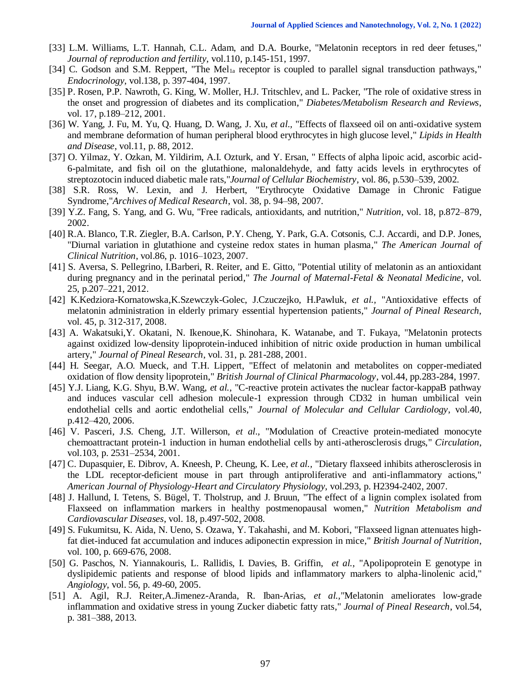- [33] L.M. Williams, L.T. Hannah, C.L. Adam, and D.A. Bourke, "Melatonin receptors in red deer fetuses," *Journal of reproduction and fertility*, vol.110, p.145-151, 1997.
- [34] C. Godson and S.M. Reppert, "The Mel<sub>1a</sub> receptor is coupled to parallel signal transduction pathways," *Endocrinology*[, vol.138, p. 397-404, 1997.](https://www.google.com/url?sa=t&rct=j&q=&esrc=s&source=web&cd=&cad=rja&uact=8&ved=2ahUKEwiy1_uskfLxAhXggf0HHdEcBq4QFjACegQIHRAD&url=https%3A%2F%2Fwww.researchgate.net%2Fjournal%2FJournal-of-reproduction-and-fertility-Supplement-0449-3087&usg=AOvVaw0t9M4yX7Y3FQQGocTgTP6k)
- [35] P. Rosen, P.P. Nawroth, G. King, W. Moller, H.J. Tritschlev, and L. Packer, "The role of oxidative stress in the onset and progression of diabetes and its complication," *Diabetes/Metabolism Research and Reviews*, vol. 17, p.189–212, 2001.
- [36] W. Yang, J. Fu, M. Yu, Q. Huang, D. Wang, J. Xu, *et al.,* "Effects of flaxseed oil on anti-oxidative system and membrane deformation of human peripheral blood erythrocytes in high glucose level," *Lipids in Health and Disease*, vol.11, p. 88, 2012.
- [37] O. Yilmaz, Y. Ozkan, M. Yildirim, A.I. Ozturk, and Y. Ersan, " Effects of alpha lipoic acid, ascorbic acid-6-palmitate, and fish oil on the glutathione, malonaldehyde, and fatty acids levels in erythrocytes of streptozotocin induced diabetic male rats,"*Journal of Cellular Biochemistry*, vol. 86, p.530–539, 2002.
- [38] S.R. Ross, W. Lexin, and J. Herbert, "Erythrocyte Oxidative Damage in Chronic Fatigue Syndrome,"*Archives of Medical Research*, vol. 38, p. 94–98, 2007.
- [39] Y.Z. Fang, S. Yang, and G. Wu, "Free radicals, antioxidants, and nutrition," *Nutrition*, vol. 18, p.872–879, 2002.
- [40] R.A. Blanco, T.R. Ziegler, B.A. Carlson, P.Y. Cheng, Y. Park, G.A. Cotsonis, C.J. Accardi, and D.P. Jones, "Diurnal variation in glutathione and cysteine redox states in human plasma," *The American Journal of Clinical Nutrition*, vol.86, p. 1016–1023, 2007.
- [41] S. Aversa, S. Pellegrino, I.Barberi, R. Reiter, and E. Gitto, "Potential utility of melatonin as an antioxidant during pregnancy and in the perinatal period," *The Journal of Maternal-Fetal & Neonatal Medicine*, vol. 25, p.207–221, 2012.
- [42] [K.](http://www.ncbi.nlm.nih.gov/pubmed?term=Kedziora-Kornatowska%20K%5BAuthor%5D&cauthor=true&cauthor_uid=18363674)Kedziora-Kornatowska[,K.](http://www.ncbi.nlm.nih.gov/pubmed?term=Szewczyk-Golec%20K%5BAuthor%5D&cauthor=true&cauthor_uid=18363674)Szewczyk-Golec, [J.](http://www.ncbi.nlm.nih.gov/pubmed?term=Czuczejko%20J%5BAuthor%5D&cauthor=true&cauthor_uid=18363674)Czuczejko, [H.](http://www.ncbi.nlm.nih.gov/pubmed?term=Pawluk%20H%5BAuthor%5D&cauthor=true&cauthor_uid=18363674)Pawluk, *et al.,* "Antioxidative effects of melatonin administration in elderly primary essential hypertension patients," *Journal of Pineal Research*, vol. 45, p. 312-317, 2008.
- [43] [A.](http://www.ncbi.nlm.nih.gov/pubmed?term=Wakatsuki%20A%5BAuthor%5D&cauthor=true&cauthor_uid=11589764) Wakatsuki[,Y.](http://www.ncbi.nlm.nih.gov/pubmed?term=Okatani%20Y%5BAuthor%5D&cauthor=true&cauthor_uid=11589764) Okatani, [N.](http://www.ncbi.nlm.nih.gov/pubmed?term=Ikenoue%20N%5BAuthor%5D&cauthor=true&cauthor_uid=11589764) Ikenoue[,K.](http://www.ncbi.nlm.nih.gov/pubmed?term=Shinohara%20K%5BAuthor%5D&cauthor=true&cauthor_uid=11589764) Shinohara, [K.](http://www.ncbi.nlm.nih.gov/pubmed?term=Watanabe%20K%5BAuthor%5D&cauthor=true&cauthor_uid=11589764) Watanabe, and [T.](http://www.ncbi.nlm.nih.gov/pubmed?term=Fukaya%20T%5BAuthor%5D&cauthor=true&cauthor_uid=11589764) Fukaya, "Melatonin protects against oxidized low-density lipoprotein-induced inhibition of nitric oxide production in human umbilical artery," *Journal of Pineal Research*, vol. 31, p. 281-288, 2001.
- [44] [H.](http://www.ncbi.nlm.nih.gov/pubmed?term=Seegar%20H%5BAuthor%5D&cauthor=true&cauthor_uid=9296323) Seegar, [A.O.](http://www.ncbi.nlm.nih.gov/pubmed?term=Mueck%20AO%5BAuthor%5D&cauthor=true&cauthor_uid=9296323) Mueck, and [T.H.](http://www.ncbi.nlm.nih.gov/pubmed?term=Lippert%20TH%5BAuthor%5D&cauthor=true&cauthor_uid=9296323) Lippert, "Effect of melatonin and metabolites on copper-mediated oxidation of flow density lipoprotein," *British Journal of Clinical Pharmacology*, vol.44, pp.283-284, 1997.
- [45] Y.J. Liang, K.G. Shyu, B.W. Wang, *et al.,* "C-reactive protein activates the nuclear factor-kappaB pathway and induces vascular cell adhesion molecule-1 expression through CD32 in human umbilical vein endothelial cells and aortic endothelial cells," *Journal of Molecular and Cellular Cardiology*, vol.40, p.412–420, 2006.
- [46] V. Pasceri, J.S. Cheng, J.T. Willerson, *et al.,* "Modulation of Creactive protein-mediated monocyte chemoattractant protein-1 induction in human endothelial cells by anti-atherosclerosis drugs," *Circulation*, vol.103, p. 2531–2534, 2001.
- [47] C. Dupasquier, E. Dibrov, A. Kneesh, P. Cheung, K. Lee, *et al.,* "Dietary flaxseed inhibits atherosclerosis in the LDL receptor-deficient mouse in part through antiproliferative and anti-inflammatory actions," *[American Journal of Physiology-Heart and Circulatory Physiology](https://journals.physiology.org/journal/ajpheart)*, vol.293, p. H2394-2402, 2007.
- [48] J. Hallund, I. Tetens, S. Bügel, T. Tholstrup, and J. Bruun, "The effect of a lignin complex isolated from Flaxseed on inflammation markers in healthy postmenopausal women," *Nutrition [Metabolism and](https://www.google.com/url?sa=t&rct=j&q=&esrc=s&source=web&cd=&cad=rja&uact=8&ved=2ahUKEwiM0urQmvLxAhXkgv0HHeH2BVMQFjACegQIAxAD&url=https%3A%2F%2Fwww.journals.elsevier.com%2Fnutrition-metabolism-and-cardiovascular-diseases&usg=AOvVaw0Rg2R5-NQCsiOPvuqllXh6)  Cardiovascular Diseases*[, vol. 18, p.497-502, 2008.](https://www.google.com/url?sa=t&rct=j&q=&esrc=s&source=web&cd=&cad=rja&uact=8&ved=2ahUKEwiM0urQmvLxAhXkgv0HHeH2BVMQFjACegQIAxAD&url=https%3A%2F%2Fwww.journals.elsevier.com%2Fnutrition-metabolism-and-cardiovascular-diseases&usg=AOvVaw0Rg2R5-NQCsiOPvuqllXh6)
- [49] S. Fukumitsu, K. Aida, N. Ueno, S. Ozawa, Y. Takahashi, and M. Kobori, "Flaxseed lignan attenuates highfat diet-induced fat accumulation and induces adiponectin expression in mice," *British Journal of Nutrition*, vol. 100, p. 669-676, 2008.
- [50] G. Paschos, N. Yiannakouris, L. Rallidis, I. Davies, B. Griffin, *et al.*, "Apolipoprotein E genotype in dyslipidemic patients and response of blood lipids and inflammatory markers to alpha-linolenic acid," *Angiology*, vol. 56, p. 49-60, 2005.
- [51] [A.](http://www.ncbi.nlm.nih.gov/pubmed?term=Agil%20A%5BAuthor%5D&cauthor=true&cauthor_uid=23020082) Agil, [R.J.](http://www.ncbi.nlm.nih.gov/pubmed?term=Reiter%20RJ%5BAuthor%5D&cauthor=true&cauthor_uid=23020082) Reiter[,A.](http://www.ncbi.nlm.nih.gov/pubmed?term=Jim%C3%A9nez-Aranda%20A%5BAuthor%5D&cauthor=true&cauthor_uid=23020082)Jimenez-Aranda, [R.](http://www.ncbi.nlm.nih.gov/pubmed?term=Ib%C3%A1n-Arias%20R%5BAuthor%5D&cauthor=true&cauthor_uid=23020082) Iban-Arias, *et al.,*"Melatonin ameliorates low-grade inflammation and oxidative stress in young Zucker diabetic fatty rats," *Journal of Pineal Research*, vol.54, p. 381–388, 2013.